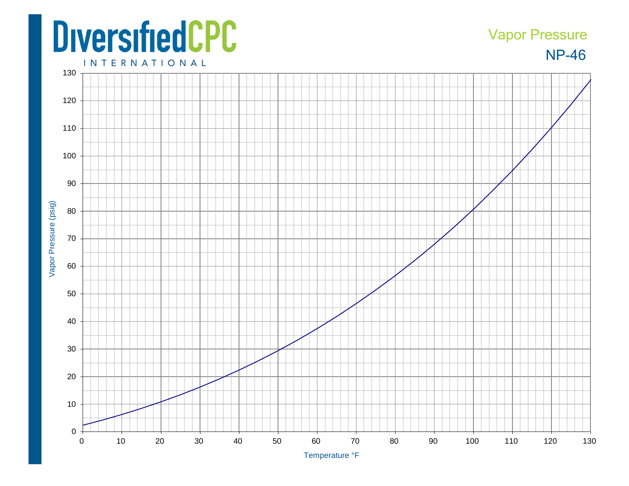## **DiversifiedCPC**

## NP-46 Vapor Pressure

**INTERNATIONAL**